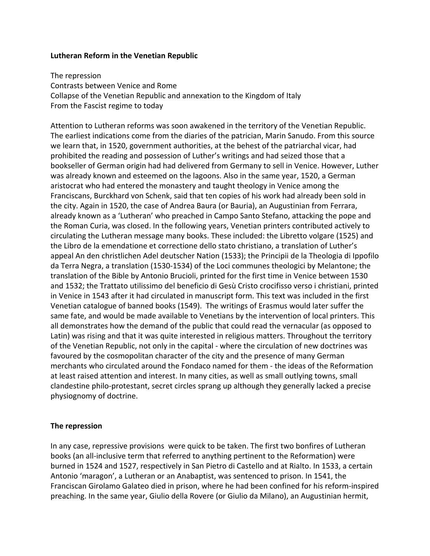### **Lutheran Reform in the Venetian Republic**

The repression Contrasts between Venice and Rome Collapse of the Venetian Republic and annexation to the Kingdom of Italy From the Fascist regime to today

Attention to Lutheran reforms was soon awakened in the territory of the Venetian Republic. The earliest indications come from the diaries of the patrician, Marin Sanudo. From this source we learn that, in 1520, government authorities, at the behest of the patriarchal vicar, had prohibited the reading and possession of Luther's writings and had seized those that a bookseller of German origin had had delivered from Germany to sell in Venice. However, Luther was already known and esteemed on the lagoons. Also in the same year, 1520, a German aristocrat who had entered the monastery and taught theology in Venice among the Franciscans, Burckhard von Schenk, said that ten copies of his work had already been sold in the city. Again in 1520, the case of Andrea Baura (or Bauria), an Augustinian from Ferrara, already known as a 'Lutheran' who preached in Campo Santo Stefano, attacking the pope and the Roman Curia, was closed. In the following years, Venetian printers contributed actively to circulating the Lutheran message many books. These included: the Libretto volgare (1525) and the Libro de la emendatione et correctione dello stato christiano, a translation of Luther's appeal An den christlichen Adel deutscher Nation (1533); the Principii de la Theologia di Ippofilo da Terra Negra, a translation (1530-1534) of the Loci communes theologici by Melantone; the translation of the Bible by Antonio Brucioli, printed for the first time in Venice between 1530 and 1532; the Trattato utilissimo del beneficio di Gesù Cristo crocifisso verso i christiani, printed in Venice in 1543 after it had circulated in manuscript form. This text was included in the first Venetian catalogue of banned books (1549). The writings of Erasmus would later suffer the same fate, and would be made available to Venetians by the intervention of local printers. This all demonstrates how the demand of the public that could read the vernacular (as opposed to Latin) was rising and that it was quite interested in religious matters. Throughout the territory of the Venetian Republic, not only in the capital - where the circulation of new doctrines was favoured by the cosmopolitan character of the city and the presence of many German merchants who circulated around the Fondaco named for them - the ideas of the Reformation at least raised attention and interest. In many cities, as well as small outlying towns, small clandestine philo-protestant, secret circles sprang up although they generally lacked a precise physiognomy of doctrine.

# **The repression**

In any case, repressive provisions were quick to be taken. The first two bonfires of Lutheran books (an all-inclusive term that referred to anything pertinent to the Reformation) were burned in 1524 and 1527, respectively in San Pietro di Castello and at Rialto. In 1533, a certain Antonio 'maragon', a Lutheran or an Anabaptist, was sentenced to prison. In 1541, the Franciscan Girolamo Galateo died in prison, where he had been confined for his reform-inspired preaching. In the same year, Giulio della Rovere (or Giulio da Milano), an Augustinian hermit,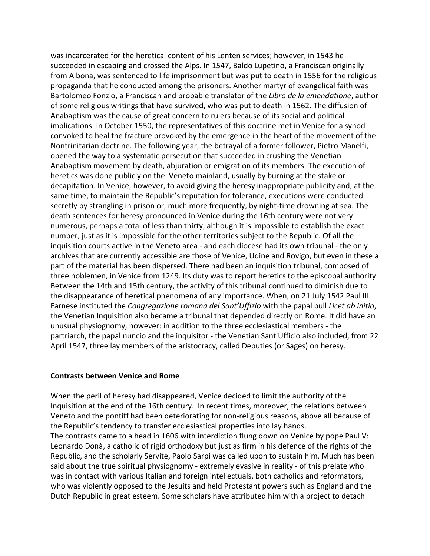was incarcerated for the heretical content of his Lenten services; however, in 1543 he succeeded in escaping and crossed the Alps. In 1547, Baldo Lupetino, a Franciscan originally from Albona, was sentenced to life imprisonment but was put to death in 1556 for the religious propaganda that he conducted among the prisoners. Another martyr of evangelical faith was Bartolomeo Fonzio, a Franciscan and probable translator of the *Libro de la emendatione*, author of some religious writings that have survived, who was put to death in 1562. The diffusion of Anabaptism was the cause of great concern to rulers because of its social and political implications. In October 1550, the representatives of this doctrine met in Venice for a synod convoked to heal the fracture provoked by the emergence in the heart of the movement of the Nontrinitarian doctrine. The following year, the betrayal of a former follower, Pietro Manelfi, opened the way to a systematic persecution that succeeded in crushing the Venetian Anabaptism movement by death, abjuration or emigration of its members. The execution of heretics was done publicly on the Veneto mainland, usually by burning at the stake or decapitation. In Venice, however, to avoid giving the heresy inappropriate publicity and, at the same time, to maintain the Republic's reputation for tolerance, executions were conducted secretly by strangling in prison or, much more frequently, by night-time drowning at sea. The death sentences for heresy pronounced in Venice during the 16th century were not very numerous, perhaps a total of less than thirty, although it is impossible to establish the exact number, just as it is impossible for the other territories subject to the Republic. Of all the inquisition courts active in the Veneto area - and each diocese had its own tribunal - the only archives that are currently accessible are those of Venice, Udine and Rovigo, but even in these a part of the material has been dispersed. There had been an inquisition tribunal, composed of three noblemen, in Venice from 1249. Its duty was to report heretics to the episcopal authority. Between the 14th and 15th century, the activity of this tribunal continued to diminish due to the disappearance of heretical phenomena of any importance. When, on 21 July 1542 Paul III Farnese instituted the *Congregazione romana del Sant'Uffizio* with the papal bull *Licet ab initio*, the Venetian Inquisition also became a tribunal that depended directly on Rome. It did have an unusual physiognomy, however: in addition to the three ecclesiastical members - the partriarch, the papal nuncio and the inquisitor - the Venetian Sant'Ufficio also included, from 22 April 1547, three lay members of the aristocracy, called Deputies (or Sages) on heresy.

# **Contrasts between Venice and Rome**

When the peril of heresy had disappeared, Venice decided to limit the authority of the Inquisition at the end of the 16th century. In recent times, moreover, the relations between Veneto and the pontiff had been deteriorating for non-religious reasons, above all because of the Republic's tendency to transfer ecclesiastical properties into lay hands. The contrasts came to a head in 1606 with interdiction flung down on Venice by pope Paul V: Leonardo Donà, a catholic of rigid orthodoxy but just as firm in his defence of the rights of the Republic, and the scholarly Servite, Paolo Sarpi was called upon to sustain him. Much has been said about the true spiritual physiognomy - extremely evasive in reality - of this prelate who was in contact with various Italian and foreign intellectuals, both catholics and reformators, who was violently opposed to the Jesuits and held Protestant powers such as England and the Dutch Republic in great esteem. Some scholars have attributed him with a project to detach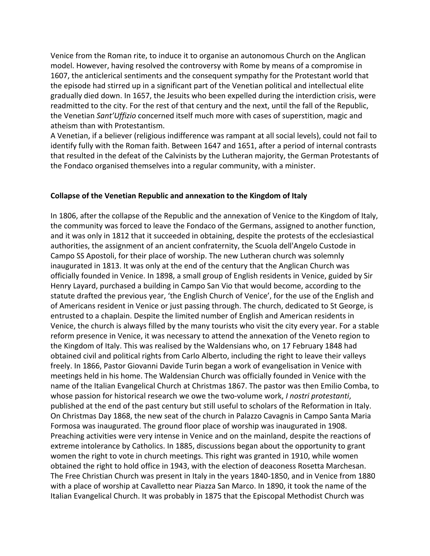Venice from the Roman rite, to induce it to organise an autonomous Church on the Anglican model. However, having resolved the controversy with Rome by means of a compromise in 1607, the anticlerical sentiments and the consequent sympathy for the Protestant world that the episode had stirred up in a significant part of the Venetian political and intellectual elite gradually died down. In 1657, the Jesuits who been expelled during the interdiction crisis, were readmitted to the city. For the rest of that century and the next, until the fall of the Republic, the Venetian *Sant'Uffizio* concerned itself much more with cases of superstition, magic and atheism than with Protestantism.

A Venetian, if a believer (religious indifference was rampant at all social levels), could not fail to identify fully with the Roman faith. Between 1647 and 1651, after a period of internal contrasts that resulted in the defeat of the Calvinists by the Lutheran majority, the German Protestants of the Fondaco organised themselves into a regular community, with a minister.

### **Collapse of the Venetian Republic and annexation to the Kingdom of Italy**

In 1806, after the collapse of the Republic and the annexation of Venice to the Kingdom of Italy, the community was forced to leave the Fondaco of the Germans, assigned to another function, and it was only in 1812 that it succeeded in obtaining, despite the protests of the ecclesiastical authorities, the assignment of an ancient confraternity, the Scuola dell'Angelo Custode in Campo SS Apostoli, for their place of worship. The new Lutheran church was solemnly inaugurated in 1813. It was only at the end of the century that the Anglican Church was officially founded in Venice. In 1898, a small group of English residents in Venice, guided by Sir Henry Layard, purchased a building in Campo San Vio that would become, according to the statute drafted the previous year, 'the English Church of Venice', for the use of the English and of Americans resident in Venice or just passing through. The church, dedicated to St George, is entrusted to a chaplain. Despite the limited number of English and American residents in Venice, the church is always filled by the many tourists who visit the city every year. For a stable reform presence in Venice, it was necessary to attend the annexation of the Veneto region to the Kingdom of Italy. This was realised by the Waldensians who, on 17 February 1848 had obtained civil and political rights from Carlo Alberto, including the right to leave their valleys freely. In 1866, Pastor Giovanni Davide Turin began a work of evangelisation in Venice with meetings held in his home. The Waldensian Church was officially founded in Venice with the name of the Italian Evangelical Church at Christmas 1867. The pastor was then Emilio Comba, to whose passion for historical research we owe the two-volume work, *I nostri protestanti*, published at the end of the past century but still useful to scholars of the Reformation in Italy. On Christmas Day 1868, the new seat of the church in Palazzo Cavagnis in Campo Santa Maria Formosa was inaugurated. The ground floor place of worship was inaugurated in 1908. Preaching activities were very intense in Venice and on the mainland, despite the reactions of extreme intolerance by Catholics. In 1885, discussions began about the opportunity to grant women the right to vote in church meetings. This right was granted in 1910, while women obtained the right to hold office in 1943, with the election of deaconess Rosetta Marchesan. The Free Christian Church was present in Italy in the years 1840-1850, and in Venice from 1880 with a place of worship at Cavalletto near Piazza San Marco. In 1890, it took the name of the Italian Evangelical Church. It was probably in 1875 that the Episcopal Methodist Church was